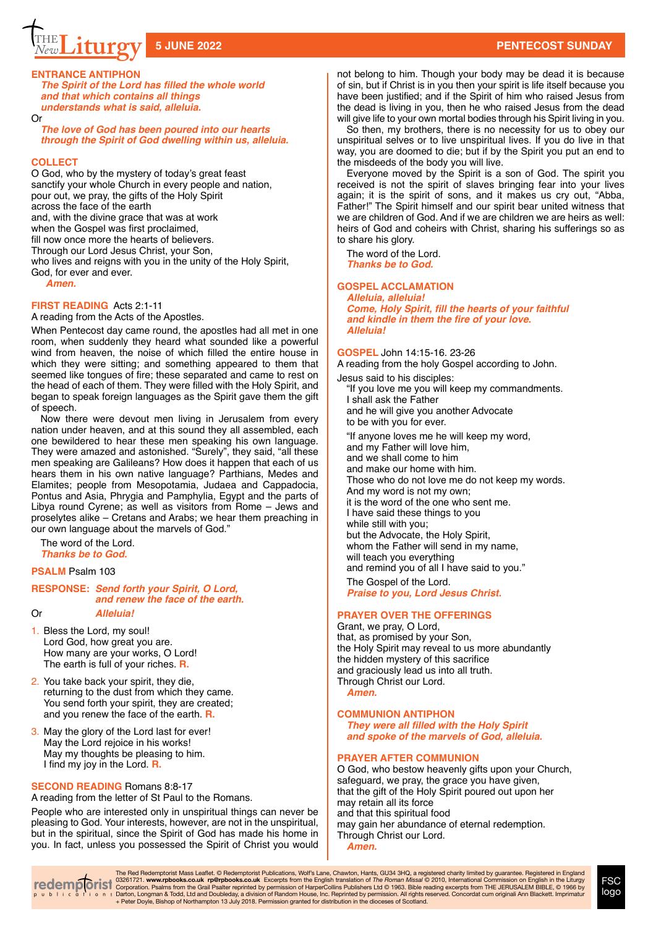# $\frac{1}{New}$  **Liturgy** 5 JUNE 2022 **PENTECOST SUNDAY**

# **ENTRANCE ANTIPHON**

**The Spirit of the Lord has filled the whole world and that which contains all things understands what is said, alleluia.**  Or

**The love of God has been poured into our hearts through the Spirit of God dwelling within us, alleluia.** 

# **COLLECT**

*New*

O God, who by the mystery of today's great feast sanctify your whole Church in every people and nation, pour out, we pray, the gifts of the Holy Spirit across the face of the earth and, with the divine grace that was at work when the Gospel was first proclaimed, fill now once more the hearts of believers. Through our Lord Jesus Christ, your Son, who lives and reigns with you in the unity of the Holy Spirit, God, for ever and ever.

 **Amen.**

# **FIRST READING** Acts 2:1-11

A reading from the Acts of the Apostles.

When Pentecost day came round, the apostles had all met in one room, when suddenly they heard what sounded like a powerful wind from heaven, the noise of which filled the entire house in which they were sitting; and something appeared to them that seemed like tongues of fire; these separated and came to rest on the head of each of them. They were filled with the Holy Spirit, and began to speak foreign languages as the Spirit gave them the gift of speech.

Now there were devout men living in Jerusalem from every nation under heaven, and at this sound they all assembled, each one bewildered to hear these men speaking his own language. They were amazed and astonished. "Surely", they said, "all these men speaking are Galileans? How does it happen that each of us hears them in his own native language? Parthians, Medes and Elamites; people from Mesopotamia, Judaea and Cappadocia, Pontus and Asia, Phrygia and Pamphylia, Egypt and the parts of Libya round Cyrene; as well as visitors from Rome – Jews and proselytes alike – Cretans and Arabs; we hear them preaching in our own language about the marvels of God."

The word of the Lord. **Thanks be to God.**

**PSALM** Psalm 103

# **RESPONSE: Send forth your Spirit, O Lord, and renew the face of the earth.** Or **Alleluia!**

1. Bless the Lord, my soul! Lord God, how great you are. How many are your works, O Lord! The earth is full of your riches. **R.**

- 2. You take back your spirit, they die, returning to the dust from which they came. You send forth your spirit, they are created; and you renew the face of the earth. **R.**
- 3. May the glory of the Lord last for ever! May the Lord rejoice in his works! May my thoughts be pleasing to him. I find my joy in the Lord. **R.**

# **SECOND READING Romans 8:8-17**

A reading from the letter of St Paul to the Romans.

People who are interested only in unspiritual things can never be pleasing to God. Your interests, however, are not in the unspiritual, but in the spiritual, since the Spirit of God has made his home in you. In fact, unless you possessed the Spirit of Christ you would not belong to him. Though your body may be dead it is because of sin, but if Christ is in you then your spirit is life itself because you have been justified; and if the Spirit of him who raised Jesus from the dead is living in you, then he who raised Jesus from the dead will give life to your own mortal bodies through his Spirit living in you.

So then, my brothers, there is no necessity for us to obey our unspiritual selves or to live unspiritual lives. If you do live in that way, you are doomed to die; but if by the Spirit you put an end to the misdeeds of the body you will live.

Everyone moved by the Spirit is a son of God. The spirit you received is not the spirit of slaves bringing fear into your lives again; it is the spirit of sons, and it makes us cry out, "Abba, Father!" The Spirit himself and our spirit bear united witness that we are children of God. And if we are children we are heirs as well: heirs of God and coheirs with Christ, sharing his sufferings so as to share his glory.

The word of the Lord. **Thanks be to God.**

# **GOSPEL ACCLAMATION**

**Alleluia, alleluia! Come, Holy Spirit, fill the hearts of your faithful and kindle in them the fire of your love. Alleluia!**

**GOSPEL** John 14:15-16. 23-26

A reading from the holy Gospel according to John.

Jesus said to his disciples:

"If you love me you will keep my commandments. I shall ask the Father and he will give you another Advocate to be with you for ever. "If anyone loves me he will keep my word, and my Father will love him, and we shall come to him and make our home with him. Those who do not love me do not keep my words. And my word is not my own; it is the word of the one who sent me. I have said these things to you while still with you; but the Advocate, the Holy Spirit, whom the Father will send in my name, will teach you everything and remind you of all I have said to you." The Gospel of the Lord.

**Praise to you, Lord Jesus Christ.**

# **PRAYER OVER THE OFFERINGS**

Grant, we pray, O Lord, that, as promised by your Son, the Holy Spirit may reveal to us more abundantly the hidden mystery of this sacrifice and graciously lead us into all truth. Through Christ our Lord. **Amen.**

**COMMUNION ANTIPHON They were all filled with the Holy Spirit and spoke of the marvels of God, alleluia.** 

# **PRAYER AFTER COMMUNION**

O God, who bestow heavenly gifts upon your Church, safeguard, we pray, the grace you have given, that the gift of the Holy Spirit poured out upon her may retain all its force and that this spiritual food may gain her abundance of eternal redemption. Through Christ our Lord. **Amen.**



The Red Redemptorist Mass Leaflet. © Redemptorist Publications, Wolf's Lane, Chawton, Hants, GU34 3HQ, a registered charity limited by guarantee. Registered in England<br>03261721. www.rpbooks.co.uk rp@rpbooks.co.uk Excerpts + Peter Doyle, Bishop of Northampton 13 July 2018. Permission granted for distribution in the dioceses of Scotland.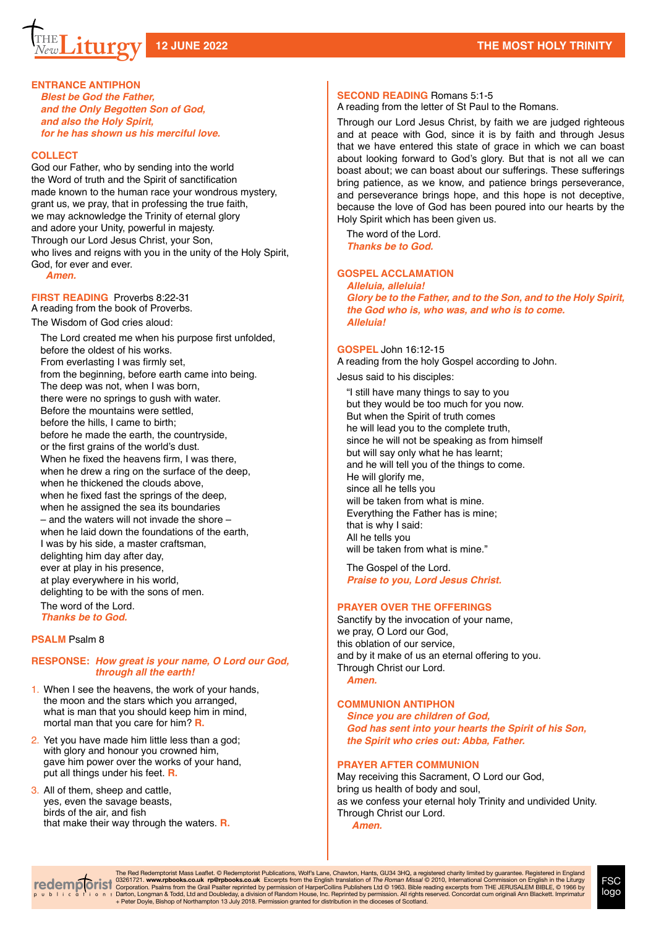# $\frac{New}{New}$  **Liturgy** 12 JUNE 2022 **THE MOST HOLY TRINITY**

**ENTRANCE ANTIPHON**

*Blest be God the Father, and the Only Begotten Son of God, and also the Holy Spirit, for he has shown us his merciful love.*

# **COLLECT**

*New*

God our Father, who by sending into the world the Word of truth and the Spirit of sanctification made known to the human race your wondrous mystery, grant us, we pray, that in professing the true faith, we may acknowledge the Trinity of eternal glory and adore your Unity, powerful in majesty. Through our Lord Jesus Christ, your Son, who lives and reigns with you in the unity of the Holy Spirit, God, for ever and ever.

 *Amen.*

# **FIRST READING** Proverbs 8:22-31

A reading from the book of Proverbs.

The Wisdom of God cries aloud:

The Lord created me when his purpose first unfolded, before the oldest of his works. From everlasting I was firmly set, from the beginning, before earth came into being. The deep was not, when I was born, there were no springs to gush with water. Before the mountains were settled, before the hills, I came to birth; before he made the earth, the countryside, or the first grains of the world's dust. When he fixed the heavens firm, I was there, when he drew a ring on the surface of the deep, when he thickened the clouds above, when he fixed fast the springs of the deep, when he assigned the sea its boundaries – and the waters will not invade the shore – when he laid down the foundations of the earth, I was by his side, a master craftsman, delighting him day after day, ever at play in his presence, at play everywhere in his world, delighting to be with the sons of men. The word of the Lord. *Thanks be to God.*

# **PSALM** Psalm 8

## **RESPONSE:** *How great is your name, O Lord our God, through all the earth!*

1. When I see the heavens, the work of your hands, the moon and the stars which you arranged, what is man that you should keep him in mind, mortal man that you care for him? **R.**

- 2. Yet you have made him little less than a god; with glory and honour you crowned him, gave him power over the works of your hand, put all things under his feet. **R.**
- 3. All of them, sheep and cattle, yes, even the savage beasts, birds of the air, and fish that make their way through the waters. **R.**

# **SECOND READING Romans 5:1-5**

A reading from the letter of St Paul to the Romans.

Through our Lord Jesus Christ, by faith we are judged righteous and at peace with God, since it is by faith and through Jesus that we have entered this state of grace in which we can boast about looking forward to God's glory. But that is not all we can boast about; we can boast about our sufferings. These sufferings bring patience, as we know, and patience brings perseverance, and perseverance brings hope, and this hope is not deceptive, because the love of God has been poured into our hearts by the Holy Spirit which has been given us.

The word of the Lord. *Thanks be to God.*

# **GOSPEL ACCLAMATION**

*Alleluia, alleluia! Glory be to the Father, and to the Son, and to the Holy Spirit, the God who is, who was, and who is to come. Alleluia!* 

**GOSPEL** John 16:12-15

A reading from the holy Gospel according to John.

Jesus said to his disciples:

"I still have many things to say to you but they would be too much for you now. But when the Spirit of truth comes he will lead you to the complete truth, since he will not be speaking as from himself but will say only what he has learnt; and he will tell you of the things to come. He will glorify me, since all he tells you will be taken from what is mine. Everything the Father has is mine; that is why I said: All he tells you will be taken from what is mine."

The Gospel of the Lord. *Praise to you, Lord Jesus Christ.*

# **PRAYER OVER THE OFFERINGS**

Sanctify by the invocation of your name, we pray, O Lord our God, this oblation of our service, and by it make of us an eternal offering to you. Through Christ our Lord. *Amen.*

# **COMMUNION ANTIPHON**

*Since you are children of God, God has sent into your hearts the Spirit of his Son, the Spirit who cries out: Abba, Father.* 

# **PRAYER AFTER COMMUNION**

May receiving this Sacrament, O Lord our God, bring us health of body and soul, as we confess your eternal holy Trinity and undivided Unity. Through Christ our Lord.  *Amen.*



The Red Redemptorist Mass Leaflet. © Redemptorist Publications, Wolf's Lane, Chawton, Hants, GU34 3HQ, a registered charity limited by guarantee. Registered in England 03261721. www.rpbooks.co.uk rp@rpbooks.co.uk Excerpts from the English translation of *The Roman Missal* © 2010, International Commission on English in the Liturgy<br>Corporation. Psalms from the Grail Psalter reprinted by p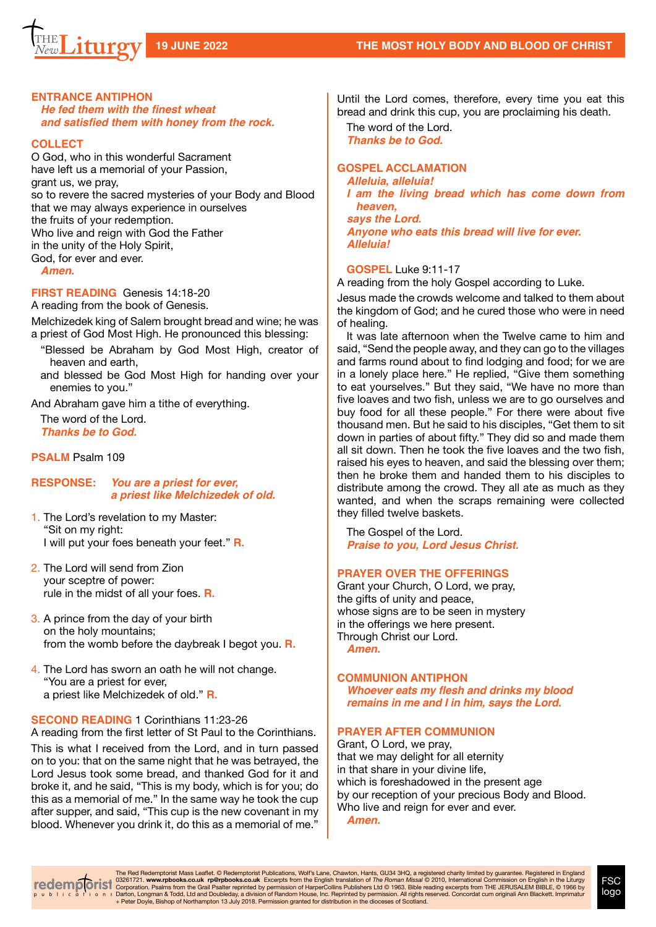

# **ENTRANCE ANTIPHON**

**He fed them with the finest wheat and satisfied them with honey from the rock.**

# **COLLECT**

O God, who in this wonderful Sacrament have left us a memorial of your Passion, grant us, we pray, so to revere the sacred mysteries of your Body and Blood that we may always experience in ourselves the fruits of your redemption. Who live and reign with God the Father in the unity of the Holy Spirit, God, for ever and ever. **Amen.**

**FIRST READING** Genesis 14:18-20

A reading from the book of Genesis.

Melchizedek king of Salem brought bread and wine; he was a priest of God Most High. He pronounced this blessing:

"Blessed be Abraham by God Most High, creator of heaven and earth,

and blessed be God Most High for handing over your enemies to you."

And Abraham gave him a tithe of everything.

The word of the Lord. **Thanks be to God.**

# **PSALM** Psalm 109

# **RESPONSE: You are a priest for ever, a priest like Melchizedek of old.**

- 1. The Lord's revelation to my Master: "Sit on my right: I will put your foes beneath your feet." **R.**
- 2. The Lord will send from Zion your sceptre of power: rule in the midst of all your foes. **R.**
- 3. A prince from the day of your birth on the holy mountains; from the womb before the daybreak I begot you. **R.**
- 4. The Lord has sworn an oath he will not change. "You are a priest for ever, a priest like Melchizedek of old." **R.**

# **SECOND READING** 1 Corinthians 11:23-26

A reading from the first letter of St Paul to the Corinthians. This is what I received from the Lord, and in turn passed on to you: that on the same night that he was betrayed, the Lord Jesus took some bread, and thanked God for it and broke it, and he said, "This is my body, which is for you; do this as a memorial of me." In the same way he took the cup after supper, and said, "This cup is the new covenant in my blood. Whenever you drink it, do this as a memorial of me."

Until the Lord comes, therefore, every time you eat this bread and drink this cup, you are proclaiming his death.

The word of the Lord. **Thanks be to God.**

# **GOSPEL ACCLAMATION**

**Alleluia, alleluia! I am the living bread which has come down from heaven,** 

**says the Lord. Anyone who eats this bread will live for ever. Alleluia!** 

# **GOSPEL** Luke 9:11-17

A reading from the holy Gospel according to Luke.

Jesus made the crowds welcome and talked to them about the kingdom of God; and he cured those who were in need of healing.

It was late afternoon when the Twelve came to him and said, "Send the people away, and they can go to the villages and farms round about to find lodging and food; for we are in a lonely place here." He replied, "Give them something to eat yourselves." But they said, "We have no more than five loaves and two fish, unless we are to go ourselves and buy food for all these people." For there were about five thousand men. But he said to his disciples, "Get them to sit down in parties of about fifty." They did so and made them all sit down. Then he took the five loaves and the two fish, raised his eyes to heaven, and said the blessing over them; then he broke them and handed them to his disciples to distribute among the crowd. They all ate as much as they wanted, and when the scraps remaining were collected they filled twelve baskets.

The Gospel of the Lord. **Praise to you, Lord Jesus Christ.**

# **PRAYER OVER THE OFFERINGS**

Grant your Church, O Lord, we pray, the gifts of unity and peace, whose signs are to be seen in mystery in the offerings we here present. Through Christ our Lord. **Amen.**

# **COMMUNION ANTIPHON**

**Whoever eats my flesh and drinks my blood remains in me and I in him, says the Lord.** 

# **PRAYER AFTER COMMUNION**

Grant, O Lord, we pray, that we may delight for all eternity in that share in your divine life, which is foreshadowed in the present age by our reception of your precious Body and Blood. Who live and reign for ever and ever. **Amen.**